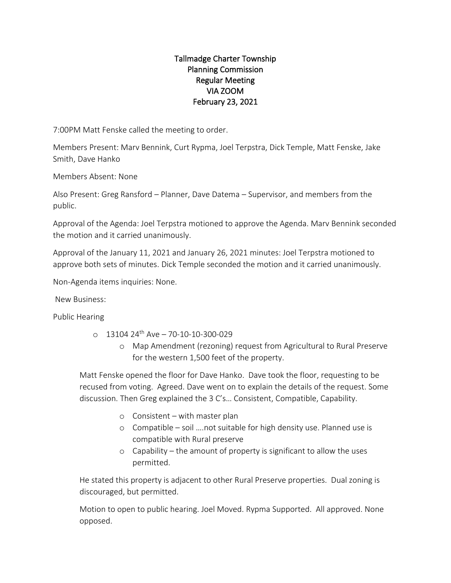## Tallmadge Charter Township Planning Commission Regular Meeting VIA ZOOM February 23, 2021

7:00PM Matt Fenske called the meeting to order.

Members Present: Marv Bennink, Curt Rypma, Joel Terpstra, Dick Temple, Matt Fenske, Jake Smith, Dave Hanko

Members Absent: None

Also Present: Greg Ransford – Planner, Dave Datema – Supervisor, and members from the public.

Approval of the Agenda: Joel Terpstra motioned to approve the Agenda. Marv Bennink seconded the motion and it carried unanimously.

Approval of the January 11, 2021 and January 26, 2021 minutes: Joel Terpstra motioned to approve both sets of minutes. Dick Temple seconded the motion and it carried unanimously.

Non-Agenda items inquiries: None.

New Business:

Public Hearing

- $O = 1310424$ <sup>th</sup> Ave 70-10-10-300-029
	- o Map Amendment (rezoning) request from Agricultural to Rural Preserve for the western 1,500 feet of the property.

Matt Fenske opened the floor for Dave Hanko. Dave took the floor, requesting to be recused from voting. Agreed. Dave went on to explain the details of the request. Some discussion. Then Greg explained the 3 C's… Consistent, Compatible, Capability.

- o Consistent with master plan
- o Compatible soil ….not suitable for high density use. Planned use is compatible with Rural preserve
- o Capability the amount of property is significant to allow the uses permitted.

He stated this property is adjacent to other Rural Preserve properties. Dual zoning is discouraged, but permitted.

Motion to open to public hearing. Joel Moved. Rypma Supported. All approved. None opposed.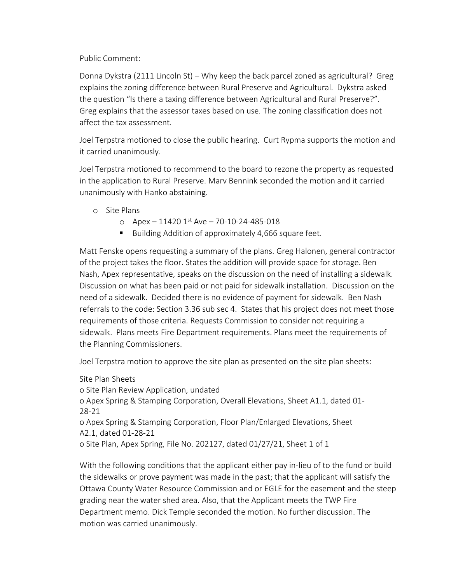Public Comment:

Donna Dykstra (2111 Lincoln St) – Why keep the back parcel zoned as agricultural? Greg explains the zoning difference between Rural Preserve and Agricultural. Dykstra asked the question "Is there a taxing difference between Agricultural and Rural Preserve?". Greg explains that the assessor taxes based on use. The zoning classification does not affect the tax assessment.

Joel Terpstra motioned to close the public hearing. Curt Rypma supports the motion and it carried unanimously.

Joel Terpstra motioned to recommend to the board to rezone the property as requested in the application to Rural Preserve. Marv Bennink seconded the motion and it carried unanimously with Hanko abstaining.

- o Site Plans
	- $\circ$  Apex 11420 1st Ave 70-10-24-485-018
	- Building Addition of approximately 4,666 square feet.

Matt Fenske opens requesting a summary of the plans. Greg Halonen, general contractor of the project takes the floor. States the addition will provide space for storage. Ben Nash, Apex representative, speaks on the discussion on the need of installing a sidewalk. Discussion on what has been paid or not paid for sidewalk installation. Discussion on the need of a sidewalk. Decided there is no evidence of payment for sidewalk. Ben Nash referrals to the code: Section 3.36 sub sec 4. States that his project does not meet those requirements of those criteria. Requests Commission to consider not requiring a sidewalk. Plans meets Fire Department requirements. Plans meet the requirements of the Planning Commissioners.

Joel Terpstra motion to approve the site plan as presented on the site plan sheets:

Site Plan Sheets o Site Plan Review Application, undated o Apex Spring & Stamping Corporation, Overall Elevations, Sheet A1.1, dated 01- 28-21 o Apex Spring & Stamping Corporation, Floor Plan/Enlarged Elevations, Sheet A2.1, dated 01-28-21 o Site Plan, Apex Spring, File No. 202127, dated 01/27/21, Sheet 1 of 1

With the following conditions that the applicant either pay in-lieu of to the fund or build the sidewalks or prove payment was made in the past; that the applicant will satisfy the Ottawa County Water Resource Commission and or EGLE for the easement and the steep grading near the water shed area. Also, that the Applicant meets the TWP Fire Department memo. Dick Temple seconded the motion. No further discussion. The motion was carried unanimously.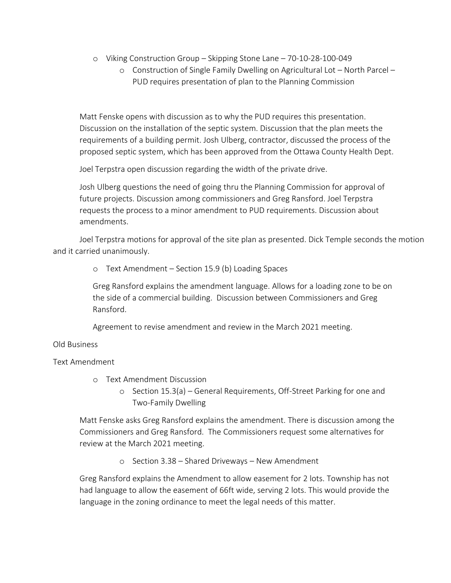- o Viking Construction Group Skipping Stone Lane 70-10-28-100-049
	- o Construction of Single Family Dwelling on Agricultural Lot North Parcel PUD requires presentation of plan to the Planning Commission

Matt Fenske opens with discussion as to why the PUD requires this presentation. Discussion on the installation of the septic system. Discussion that the plan meets the requirements of a building permit. Josh Ulberg, contractor, discussed the process of the proposed septic system, which has been approved from the Ottawa County Health Dept.

Joel Terpstra open discussion regarding the width of the private drive.

Josh Ulberg questions the need of going thru the Planning Commission for approval of future projects. Discussion among commissioners and Greg Ransford. Joel Terpstra requests the process to a minor amendment to PUD requirements. Discussion about amendments.

Joel Terpstra motions for approval of the site plan as presented. Dick Temple seconds the motion and it carried unanimously.

o Text Amendment – Section 15.9 (b) Loading Spaces

Greg Ransford explains the amendment language. Allows for a loading zone to be on the side of a commercial building. Discussion between Commissioners and Greg Ransford.

Agreement to revise amendment and review in the March 2021 meeting.

## Old Business

## Text Amendment

- o Text Amendment Discussion
	- o Section 15.3(a) General Requirements, Off-Street Parking for one and Two-Family Dwelling

Matt Fenske asks Greg Ransford explains the amendment. There is discussion among the Commissioners and Greg Ransford. The Commissioners request some alternatives for review at the March 2021 meeting.

o Section 3.38 – Shared Driveways – New Amendment

Greg Ransford explains the Amendment to allow easement for 2 lots. Township has not had language to allow the easement of 66ft wide, serving 2 lots. This would provide the language in the zoning ordinance to meet the legal needs of this matter.